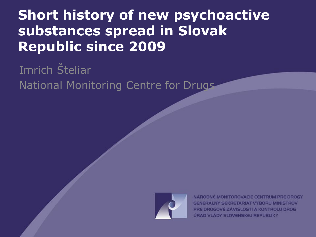## **Short history of new psychoactive substances spread in Slovak Republic since 2009**

#### Imrich Šteliar National Monitoring Centre for Drugs



NARODNE MONITOROVACIE CENTRUM PRE DROGY **GENERALNY SEKRETARIAT VYBORU MINISTROV** PRE DROGOVÉ ZÁVISLOSTI A KONTROLU DROG **ÚRAD VLÁDY SLOVENSKEJ REPUBLIKY**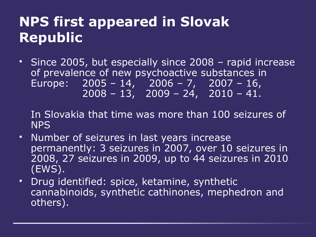# **NPS first appeared in Slovak Republic**

• Since 2005, but especially since 2008 – rapid increase of prevalence of new psychoactive substances in Europe: 2005 – 14, 2006 – 7, 2007 – 16,  $2008 - 13$ ,  $2009 - 24$ ,  $2010 - 41$ .

In Slovakia that time was more than 100 seizures of NPS

- Number of seizures in last years increase permanently: 3 seizures in 2007, over 10 seizures in 2008, 27 seizures in 2009, up to 44 seizures in 2010 (EWS).
- Drug identified: spice, ketamine, synthetic cannabinoids, synthetic cathinones, mephedron and others).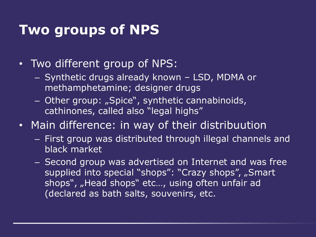## **Two groups of NPS**

- Two different group of NPS:
	- Synthetic drugs already known LSD, MDMA or methamphetamine; designer drugs
	- Other group: "Spice", synthetic cannabinoids, cathinones, called also "legal highs"
- Main difference: in way of their distribuution
	- First group was distributed through illegal channels and black market
	- Second group was advertised on Internet and was free supplied into special "shops": "Crazy shops", "Smart shops", "Head shops" etc..., using often unfair ad (declared as bath salts, souvenirs, etc.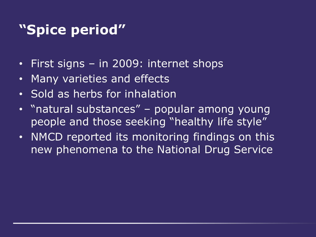## **"Spice period"**

- First signs in 2009: internet shops
- Many varieties and effects
- Sold as herbs for inhalation
- "natural substances" popular among young people and those seeking "healthy life style"
- NMCD reported its monitoring findings on this new phenomena to the National Drug Service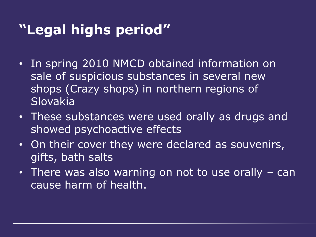# **"Legal highs period"**

- In spring 2010 NMCD obtained information on sale of suspicious substances in several new shops (Crazy shops) in northern regions of Slovakia
- These substances were used orally as drugs and showed psychoactive effects
- On their cover they were declared as souvenirs, gifts, bath salts
- There was also warning on not to use orally can cause harm of health.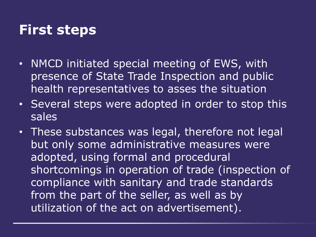## **First steps**

- NMCD initiated special meeting of EWS, with presence of State Trade Inspection and public health representatives to asses the situation
- Several steps were adopted in order to stop this sales
- These substances was legal, therefore not legal but only some administrative measures were adopted, using formal and procedural shortcomings in operation of trade (inspection of compliance with sanitary and trade standards from the part of the seller, as well as by utilization of the act on advertisement).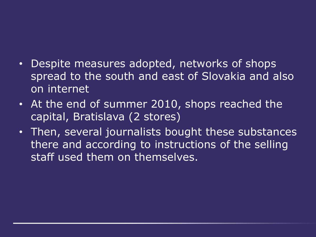#### • Despite measures adopted, networks of shops spread to the south and east of Slovakia and also on internet

- At the end of summer 2010, shops reached the capital, Bratislava (2 stores)
- Then, several journalists bought these substances there and according to instructions of the selling staff used them on themselves.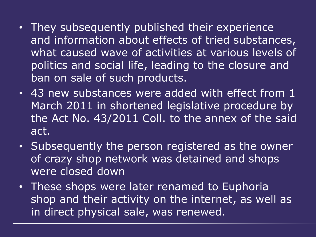- They subsequently published their experience and information about effects of tried substances, what caused wave of activities at various levels of politics and social life, leading to the closure and ban on sale of such products.
- 43 new substances were added with effect from 1 March 2011 in shortened legislative procedure by the Act No. 43/2011 Coll. to the annex of the said act.
- Subsequently the person registered as the owner of crazy shop network was detained and shops were closed down
- These shops were later renamed to Euphoria shop and their activity on the internet, as well as in direct physical sale, was renewed.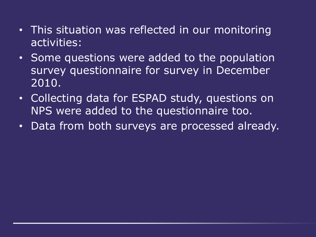- This situation was reflected in our monitoring activities:
- Some questions were added to the population survey questionnaire for survey in December 2010.
- Collecting data for ESPAD study, questions on NPS were added to the questionnaire too.
- Data from both surveys are processed already.